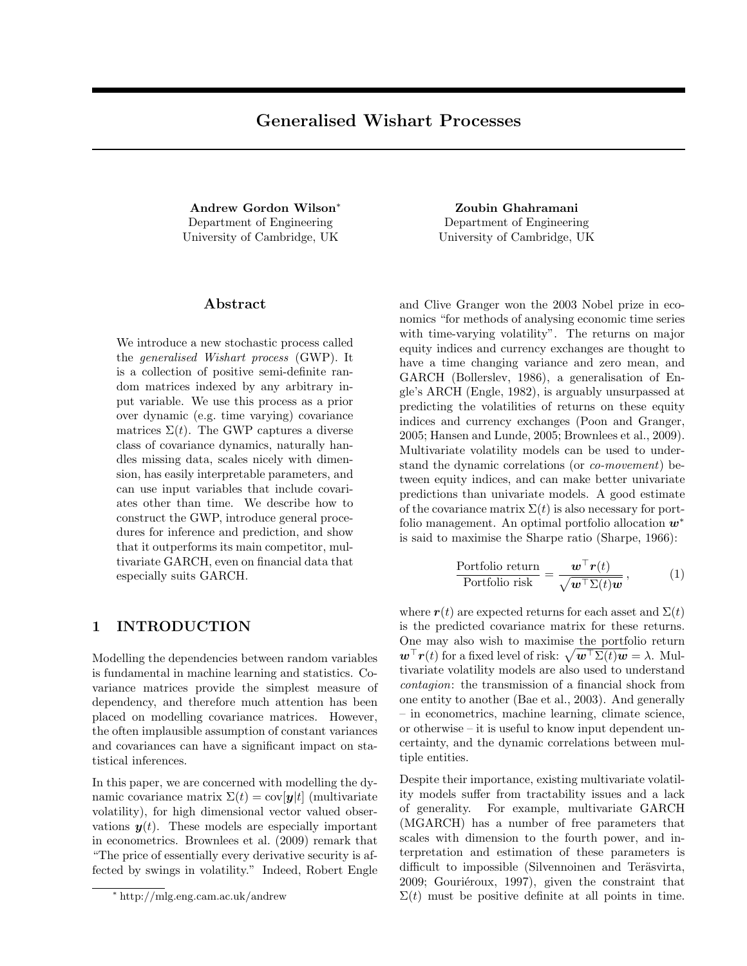Andrew Gordon Wilson<sup>∗</sup> Department of Engineering University of Cambridge, UK

### Abstract

We introduce a new stochastic process called the generalised Wishart process (GWP). It is a collection of positive semi-definite random matrices indexed by any arbitrary input variable. We use this process as a prior over dynamic (e.g. time varying) covariance matrices  $\Sigma(t)$ . The GWP captures a diverse class of covariance dynamics, naturally handles missing data, scales nicely with dimension, has easily interpretable parameters, and can use input variables that include covariates other than time. We describe how to construct the GWP, introduce general procedures for inference and prediction, and show that it outperforms its main competitor, multivariate GARCH, even on financial data that especially suits GARCH.

# 1 INTRODUCTION

Modelling the dependencies between random variables is fundamental in machine learning and statistics. Covariance matrices provide the simplest measure of dependency, and therefore much attention has been placed on modelling covariance matrices. However, the often implausible assumption of constant variances and covariances can have a significant impact on statistical inferences.

In this paper, we are concerned with modelling the dynamic covariance matrix  $\Sigma(t) = \text{cov}[\boldsymbol{y}|t]$  (multivariate volatility), for high dimensional vector valued observations  $y(t)$ . These models are especially important in econometrics. Brownlees et al. (2009) remark that "The price of essentially every derivative security is affected by swings in volatility." Indeed, Robert Engle

Zoubin Ghahramani Department of Engineering University of Cambridge, UK

and Clive Granger won the 2003 Nobel prize in economics "for methods of analysing economic time series with time-varying volatility". The returns on major equity indices and currency exchanges are thought to have a time changing variance and zero mean, and GARCH (Bollerslev, 1986), a generalisation of Engle's ARCH (Engle, 1982), is arguably unsurpassed at predicting the volatilities of returns on these equity indices and currency exchanges (Poon and Granger, 2005; Hansen and Lunde, 2005; Brownlees et al., 2009). Multivariate volatility models can be used to understand the dynamic correlations (or co-movement) between equity indices, and can make better univariate predictions than univariate models. A good estimate of the covariance matrix  $\Sigma(t)$  is also necessary for portfolio management. An optimal portfolio allocation  $w^*$ is said to maximise the Sharpe ratio (Sharpe, 1966):

$$
\frac{\text{Portfolio return}}{\text{Portfolio risk}} = \frac{\boldsymbol{w}^{\top} \boldsymbol{r}(t)}{\sqrt{\boldsymbol{w}^{\top} \Sigma(t) \boldsymbol{w}}},\tag{1}
$$

where  $r(t)$  are expected returns for each asset and  $\Sigma(t)$ is the predicted covariance matrix for these returns. One may also wish to maximise the portfolio return  $\mathbf{w}^{\top}\mathbf{r}(t)$  for a fixed level of risk:  $\sqrt{\mathbf{w}^{\top}\Sigma(t)\mathbf{w}} = \lambda$ . Multivariate volatility models are also used to understand contagion: the transmission of a financial shock from one entity to another (Bae et al., 2003). And generally – in econometrics, machine learning, climate science, or otherwise – it is useful to know input dependent uncertainty, and the dynamic correlations between multiple entities.

Despite their importance, existing multivariate volatility models suffer from tractability issues and a lack of generality. For example, multivariate GARCH (MGARCH) has a number of free parameters that scales with dimension to the fourth power, and interpretation and estimation of these parameters is difficult to impossible (Silvennoinen and Teräsvirta,  $2009$ ; Gouriéroux, 1997), given the constraint that  $\Sigma(t)$  must be positive definite at all points in time.

<sup>∗</sup> http://mlg.eng.cam.ac.uk/andrew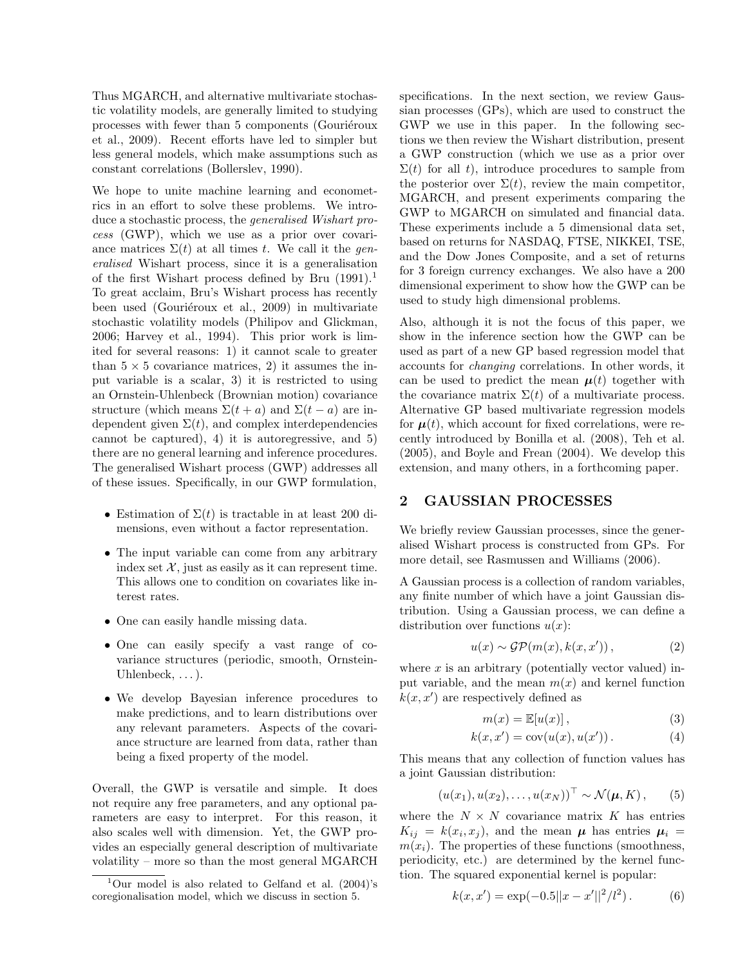Thus MGARCH, and alternative multivariate stochastic volatility models, are generally limited to studying processes with fewer than 5 components (Gouriéroux et al., 2009). Recent efforts have led to simpler but less general models, which make assumptions such as constant correlations (Bollerslev, 1990).

We hope to unite machine learning and econometrics in an effort to solve these problems. We introduce a stochastic process, the generalised Wishart process (GWP), which we use as a prior over covariance matrices  $\Sigma(t)$  at all times t. We call it the generalised Wishart process, since it is a generalisation of the first Wishart process defined by Bru  $(1991).$ <sup>1</sup> To great acclaim, Bru's Wishart process has recently been used (Gouriéroux et al., 2009) in multivariate stochastic volatility models (Philipov and Glickman, 2006; Harvey et al., 1994). This prior work is limited for several reasons: 1) it cannot scale to greater than  $5 \times 5$  covariance matrices, 2) it assumes the input variable is a scalar, 3) it is restricted to using an Ornstein-Uhlenbeck (Brownian motion) covariance structure (which means  $\Sigma(t + a)$  and  $\Sigma(t - a)$  are independent given  $\Sigma(t)$ , and complex interdependencies cannot be captured), 4) it is autoregressive, and 5) there are no general learning and inference procedures. The generalised Wishart process (GWP) addresses all of these issues. Specifically, in our GWP formulation,

- Estimation of  $\Sigma(t)$  is tractable in at least 200 dimensions, even without a factor representation.
- The input variable can come from any arbitrary index set  $\mathcal{X}$ , just as easily as it can represent time. This allows one to condition on covariates like interest rates.
- One can easily handle missing data.
- One can easily specify a vast range of covariance structures (periodic, smooth, Ornstein-Uhlenbeck,  $\dots$ ).
- We develop Bayesian inference procedures to make predictions, and to learn distributions over any relevant parameters. Aspects of the covariance structure are learned from data, rather than being a fixed property of the model.

Overall, the GWP is versatile and simple. It does not require any free parameters, and any optional parameters are easy to interpret. For this reason, it also scales well with dimension. Yet, the GWP provides an especially general description of multivariate volatility – more so than the most general MGARCH

specifications. In the next section, we review Gaussian processes (GPs), which are used to construct the GWP we use in this paper. In the following sections we then review the Wishart distribution, present a GWP construction (which we use as a prior over  $\Sigma(t)$  for all t), introduce procedures to sample from the posterior over  $\Sigma(t)$ , review the main competitor, MGARCH, and present experiments comparing the GWP to MGARCH on simulated and financial data. These experiments include a 5 dimensional data set, based on returns for NASDAQ, FTSE, NIKKEI, TSE, and the Dow Jones Composite, and a set of returns for 3 foreign currency exchanges. We also have a 200 dimensional experiment to show how the GWP can be used to study high dimensional problems.

Also, although it is not the focus of this paper, we show in the inference section how the GWP can be used as part of a new GP based regression model that accounts for changing correlations. In other words, it can be used to predict the mean  $\mu(t)$  together with the covariance matrix  $\Sigma(t)$  of a multivariate process. Alternative GP based multivariate regression models for  $\mu(t)$ , which account for fixed correlations, were recently introduced by Bonilla et al. (2008), Teh et al. (2005), and Boyle and Frean (2004). We develop this extension, and many others, in a forthcoming paper.

### 2 GAUSSIAN PROCESSES

We briefly review Gaussian processes, since the generalised Wishart process is constructed from GPs. For more detail, see Rasmussen and Williams (2006).

A Gaussian process is a collection of random variables, any finite number of which have a joint Gaussian distribution. Using a Gaussian process, we can define a distribution over functions  $u(x)$ :

$$
u(x) \sim \mathcal{GP}(m(x), k(x, x')), \qquad (2)
$$

where  $x$  is an arbitrary (potentially vector valued) input variable, and the mean  $m(x)$  and kernel function  $k(x, x')$  are respectively defined as

$$
m(x) = \mathbb{E}[u(x)],\tag{3}
$$

$$
k(x, x') = \text{cov}(u(x), u(x')). \tag{4}
$$

This means that any collection of function values has a joint Gaussian distribution:

$$
(u(x_1), u(x_2), \ldots, u(x_N))^{\top} \sim \mathcal{N}(\boldsymbol{\mu}, K), \qquad (5)
$$

where the  $N \times N$  covariance matrix K has entries  $K_{ij} = k(x_i, x_j)$ , and the mean  $\mu$  has entries  $\mu_i =$  $m(x_i)$ . The properties of these functions (smoothness, periodicity, etc.) are determined by the kernel function. The squared exponential kernel is popular:

$$
k(x, x') = \exp(-0.5||x - x'||^2/l^2).
$$
 (6)

 $1$ Our model is also related to Gelfand et al. (2004)'s coregionalisation model, which we discuss in section 5.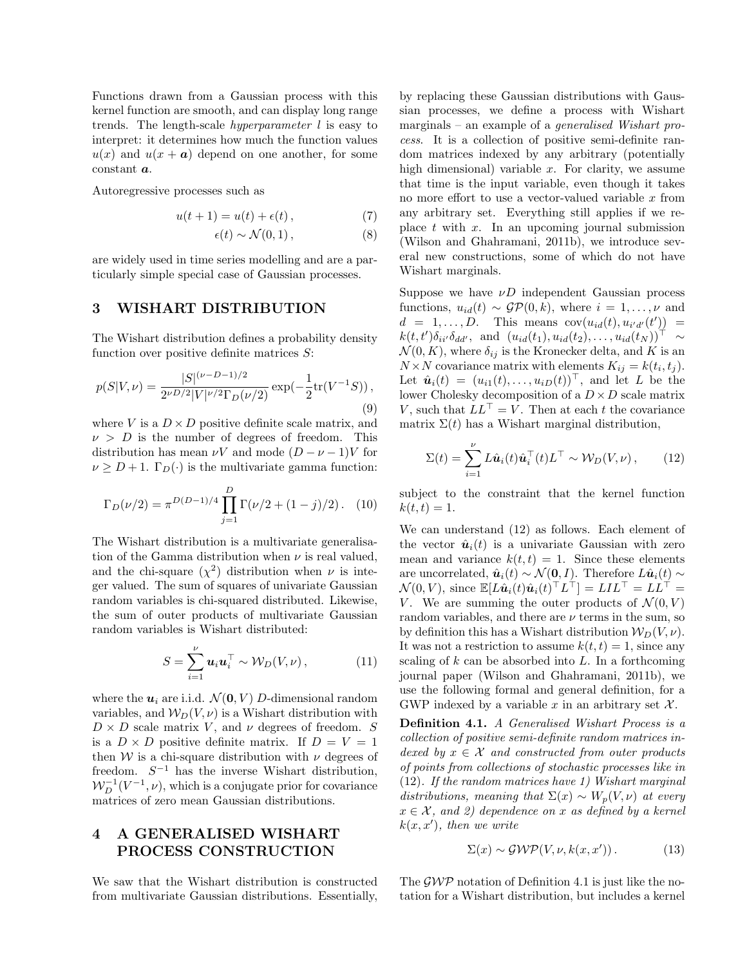Functions drawn from a Gaussian process with this kernel function are smooth, and can display long range trends. The length-scale hyperparameter l is easy to interpret: it determines how much the function values  $u(x)$  and  $u(x + a)$  depend on one another, for some constant a.

Autoregressive processes such as

$$
u(t+1) = u(t) + \epsilon(t), \qquad (7)
$$

$$
\epsilon(t) \sim \mathcal{N}(0, 1), \tag{8}
$$

are widely used in time series modelling and are a particularly simple special case of Gaussian processes.

## 3 WISHART DISTRIBUTION

The Wishart distribution defines a probability density function over positive definite matrices  $S$ :

$$
p(S|V,\nu) = \frac{|S|^{(\nu - D - 1)/2}}{2^{\nu D/2} |V|^{\nu/2} \Gamma_D(\nu/2)} \exp(-\frac{1}{2} \text{tr}(V^{-1}S)),\tag{9}
$$

where V is a  $D \times D$  positive definite scale matrix, and  $\nu > D$  is the number of degrees of freedom. This distribution has mean  $\nu V$  and mode  $(D - \nu - 1)V$  for  $\nu \geq D+1$ .  $\Gamma_D(\cdot)$  is the multivariate gamma function:

$$
\Gamma_D(\nu/2) = \pi^{D(D-1)/4} \prod_{j=1}^D \Gamma(\nu/2 + (1-j)/2). \quad (10)
$$

The Wishart distribution is a multivariate generalisation of the Gamma distribution when  $\nu$  is real valued, and the chi-square  $(\chi^2)$  distribution when  $\nu$  is integer valued. The sum of squares of univariate Gaussian random variables is chi-squared distributed. Likewise, the sum of outer products of multivariate Gaussian random variables is Wishart distributed:

$$
S = \sum_{i=1}^{\nu} \boldsymbol{u}_i \boldsymbol{u}_i^{\top} \sim \mathcal{W}_D(V, \nu) , \qquad (11)
$$

where the  $u_i$  are i.i.d.  $\mathcal{N}(\mathbf{0}, V)$  D-dimensional random variables, and  $W_D(V, \nu)$  is a Wishart distribution with  $D \times D$  scale matrix V, and  $\nu$  degrees of freedom. S is a  $D \times D$  positive definite matrix. If  $D = V = 1$ then W is a chi-square distribution with  $\nu$  degrees of freedom.  $S^{-1}$  has the inverse Wishart distribution,  $W^{-1}_D(V^{-1}, \nu)$ , which is a conjugate prior for covariance matrices of zero mean Gaussian distributions.

# 4 A GENERALISED WISHART PROCESS CONSTRUCTION

We saw that the Wishart distribution is constructed from multivariate Gaussian distributions. Essentially,

by replacing these Gaussian distributions with Gaussian processes, we define a process with Wishart marginals – an example of a generalised Wishart process. It is a collection of positive semi-definite random matrices indexed by any arbitrary (potentially high dimensional) variable  $x$ . For clarity, we assume that time is the input variable, even though it takes no more effort to use a vector-valued variable x from any arbitrary set. Everything still applies if we replace  $t$  with  $x$ . In an upcoming journal submission (Wilson and Ghahramani, 2011b), we introduce several new constructions, some of which do not have Wishart marginals.

Suppose we have  $\nu D$  independent Gaussian process functions,  $u_{id}(t) \sim \mathcal{GP}(0, k)$ , where  $i = 1, \ldots, \nu$  and  $d = 1, \ldots, D$ . This means  $cov(u_{id}(t), u_{i'd'}(t')) =$  $k(t,t')\delta_{ii'}\delta_{dd'}$ , and  $(u_{id}(t_1), u_{id}(t_2), \ldots, u_{id}(t_N))^{\top} \sim$  $\mathcal{N}(0, K)$ , where  $\delta_{ij}$  is the Kronecker delta, and K is an  $N \times N$  covariance matrix with elements  $K_{ij} = k(t_i, t_j)$ . Let  $\hat{\boldsymbol{u}}_i(t) = (u_{i1}(t), \ldots, u_{iD}(t))^{\top}$ , and let L be the lower Cholesky decomposition of a  $D \times D$  scale matrix V, such that  $LL^{\top} = V$ . Then at each t the covariance matrix  $\Sigma(t)$  has a Wishart marginal distribution,

$$
\Sigma(t) = \sum_{i=1}^{\nu} L\hat{\mathbf{u}}_i(t)\hat{\mathbf{u}}_i^{\top}(t)L^{\top} \sim \mathcal{W}_D(V,\nu), \qquad (12)
$$

subject to the constraint that the kernel function  $k(t, t) = 1.$ 

We can understand (12) as follows. Each element of the vector  $\hat{u}_i(t)$  is a univariate Gaussian with zero mean and variance  $k(t, t) = 1$ . Since these elements are uncorrelated,  $\hat{\boldsymbol{u}}_i(t) \sim \mathcal{N}(\boldsymbol{0}, I)$ . Therefore  $L\hat{\boldsymbol{u}}_i(t) \sim$  $\mathcal{N}(0, V)$ , since  $\mathbb{E}[L\hat{\boldsymbol{u}}_i(t)\hat{\boldsymbol{u}}_i(t)^{\top}L^{\top}] = LIL^{\top} = LL^{\top}$ V. We are summing the outer products of  $\mathcal{N}(0, V)$ random variables, and there are  $\nu$  terms in the sum, so by definition this has a Wishart distribution  $W_D(V, \nu)$ . It was not a restriction to assume  $k(t, t) = 1$ , since any scaling of  $k$  can be absorbed into  $L$ . In a forthcoming journal paper (Wilson and Ghahramani, 2011b), we use the following formal and general definition, for a GWP indexed by a variable x in an arbitrary set  $\mathcal{X}$ .

Definition 4.1. A Generalised Wishart Process is a collection of positive semi-definite random matrices indexed by  $x \in \mathcal{X}$  and constructed from outer products of points from collections of stochastic processes like in (12). If the random matrices have 1) Wishart marginal distributions, meaning that  $\Sigma(x) \sim W_p(V, \nu)$  at every  $x \in \mathcal{X}$ , and 2) dependence on x as defined by a kernel  $k(x, x')$ , then we write

$$
\Sigma(x) \sim \mathcal{GWP}(V, \nu, k(x, x'))\,. \tag{13}
$$

The  $\mathcal{GWP}$  notation of Definition 4.1 is just like the notation for a Wishart distribution, but includes a kernel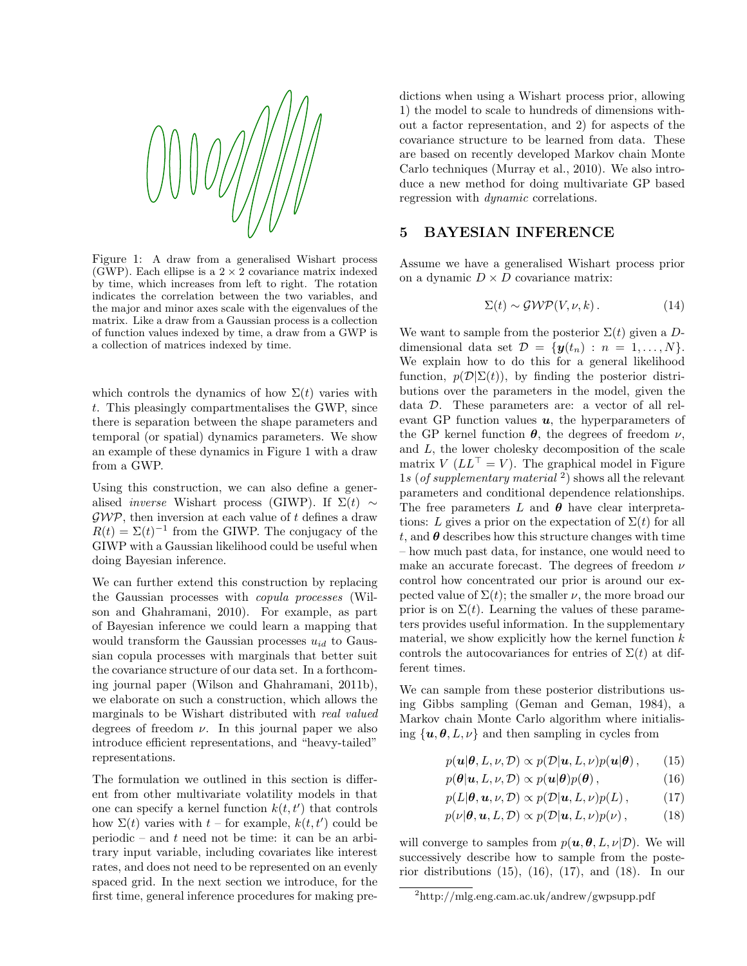

Figure 1: A draw from a generalised Wishart process (GWP). Each ellipse is a  $2 \times 2$  covariance matrix indexed by time, which increases from left to right. The rotation indicates the correlation between the two variables, and the major and minor axes scale with the eigenvalues of the matrix. Like a draw from a Gaussian process is a collection of function values indexed by time, a draw from a GWP is a collection of matrices indexed by time.

which controls the dynamics of how  $\Sigma(t)$  varies with t. This pleasingly compartmentalises the GWP, since there is separation between the shape parameters and temporal (or spatial) dynamics parameters. We show an example of these dynamics in Figure 1 with a draw from a GWP.

Using this construction, we can also define a generalised *inverse* Wishart process (GIWP). If  $\Sigma(t) \sim$  $\mathcal{GWP}$ , then inversion at each value of t defines a draw  $R(t) = \Sigma(t)^{-1}$  from the GIWP. The conjugacy of the GIWP with a Gaussian likelihood could be useful when doing Bayesian inference.

We can further extend this construction by replacing the Gaussian processes with copula processes (Wilson and Ghahramani, 2010). For example, as part of Bayesian inference we could learn a mapping that would transform the Gaussian processes  $u_{id}$  to Gaussian copula processes with marginals that better suit the covariance structure of our data set. In a forthcoming journal paper (Wilson and Ghahramani, 2011b), we elaborate on such a construction, which allows the marginals to be Wishart distributed with *real valued* degrees of freedom  $\nu$ . In this journal paper we also introduce efficient representations, and "heavy-tailed" representations.

The formulation we outlined in this section is different from other multivariate volatility models in that one can specify a kernel function  $k(t, t')$  that controls how  $\Sigma(t)$  varies with  $t$  – for example,  $k(t, t')$  could be periodic – and  $t$  need not be time: it can be an arbitrary input variable, including covariates like interest rates, and does not need to be represented on an evenly spaced grid. In the next section we introduce, for the first time, general inference procedures for making predictions when using a Wishart process prior, allowing 1) the model to scale to hundreds of dimensions without a factor representation, and 2) for aspects of the covariance structure to be learned from data. These are based on recently developed Markov chain Monte Carlo techniques (Murray et al., 2010). We also introduce a new method for doing multivariate GP based regression with dynamic correlations.

### 5 BAYESIAN INFERENCE

Assume we have a generalised Wishart process prior on a dynamic  $D \times D$  covariance matrix:

$$
\Sigma(t) \sim \mathcal{GWP}(V, \nu, k). \tag{14}
$$

We want to sample from the posterior  $\Sigma(t)$  given a Ddimensional data set  $\mathcal{D} = \{y(t_n) : n = 1, ..., N\}.$ We explain how to do this for a general likelihood function,  $p(\mathcal{D}|\Sigma(t))$ , by finding the posterior distributions over the parameters in the model, given the data D. These parameters are: a vector of all relevant GP function values  $u$ , the hyperparameters of the GP kernel function  $\theta$ , the degrees of freedom  $\nu$ , and L, the lower cholesky decomposition of the scale matrix  $V (LL^{\top} = V)$ . The graphical model in Figure 1s (of supplementary material  $^2$ ) shows all the relevant parameters and conditional dependence relationships. The free parameters L and  $\theta$  have clear interpretations: L gives a prior on the expectation of  $\Sigma(t)$  for all t, and  $\theta$  describes how this structure changes with time – how much past data, for instance, one would need to make an accurate forecast. The degrees of freedom  $\nu$ control how concentrated our prior is around our expected value of  $\Sigma(t)$ ; the smaller  $\nu$ , the more broad our prior is on  $\Sigma(t)$ . Learning the values of these parameters provides useful information. In the supplementary material, we show explicitly how the kernel function  $k$ controls the autocovariances for entries of  $\Sigma(t)$  at different times.

We can sample from these posterior distributions using Gibbs sampling (Geman and Geman, 1984), a Markov chain Monte Carlo algorithm where initialising  $\{u, \theta, L, \nu\}$  and then sampling in cycles from

$$
p(\mathbf{u}|\boldsymbol{\theta}, L, \nu, \mathcal{D}) \propto p(\mathcal{D}|\mathbf{u}, L, \nu)p(\mathbf{u}|\boldsymbol{\theta}), \qquad (15)
$$

$$
p(\boldsymbol{\theta}|\boldsymbol{u}, L, \nu, \mathcal{D}) \propto p(\boldsymbol{u}|\boldsymbol{\theta})p(\boldsymbol{\theta}), \qquad (16)
$$

$$
p(L|\boldsymbol{\theta}, \boldsymbol{u}, \nu, \mathcal{D}) \propto p(\mathcal{D}|\boldsymbol{u}, L, \nu)p(L), \quad (17)
$$

$$
p(\nu|\boldsymbol{\theta}, \boldsymbol{u}, L, \mathcal{D}) \propto p(\mathcal{D}|\boldsymbol{u}, L, \nu)p(\nu), \quad (18)
$$

will converge to samples from  $p(\boldsymbol{u}, \boldsymbol{\theta}, L, \nu | \mathcal{D})$ . We will successively describe how to sample from the posterior distributions  $(15)$ ,  $(16)$ ,  $(17)$ , and  $(18)$ . In our

<sup>2</sup>http://mlg.eng.cam.ac.uk/andrew/gwpsupp.pdf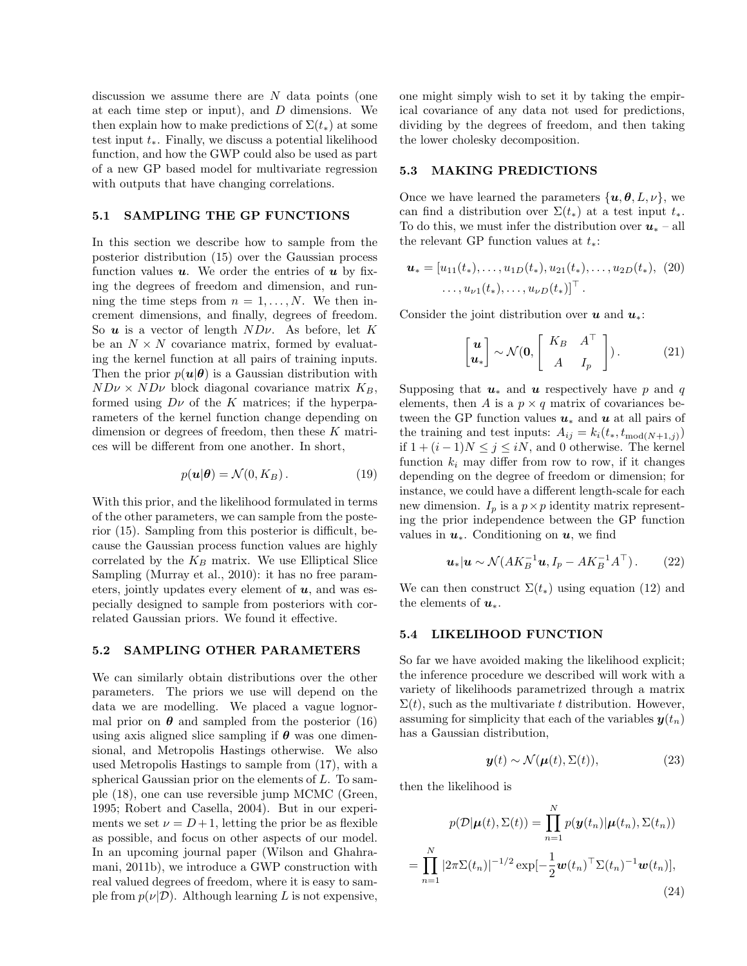discussion we assume there are N data points (one at each time step or input), and  $D$  dimensions. We then explain how to make predictions of  $\Sigma(t_*)$  at some test input  $t_*$ . Finally, we discuss a potential likelihood function, and how the GWP could also be used as part of a new GP based model for multivariate regression with outputs that have changing correlations.

#### 5.1 SAMPLING THE GP FUNCTIONS

In this section we describe how to sample from the posterior distribution (15) over the Gaussian process function values  $u$ . We order the entries of  $u$  by fixing the degrees of freedom and dimension, and running the time steps from  $n = 1, \ldots, N$ . We then increment dimensions, and finally, degrees of freedom. So  $u$  is a vector of length  $NDv$ . As before, let K be an  $N \times N$  covariance matrix, formed by evaluating the kernel function at all pairs of training inputs. Then the prior  $p(u|\theta)$  is a Gaussian distribution with  $ND\nu \times ND\nu$  block diagonal covariance matrix  $K_B$ , formed using  $D\nu$  of the K matrices; if the hyperparameters of the kernel function change depending on dimension or degrees of freedom, then these K matrices will be different from one another. In short,

$$
p(\mathbf{u}|\boldsymbol{\theta}) = \mathcal{N}(0, K_B). \tag{19}
$$

With this prior, and the likelihood formulated in terms of the other parameters, we can sample from the posterior (15). Sampling from this posterior is difficult, because the Gaussian process function values are highly correlated by the  $K_B$  matrix. We use Elliptical Slice Sampling (Murray et al., 2010): it has no free parameters, jointly updates every element of  $u$ , and was especially designed to sample from posteriors with correlated Gaussian priors. We found it effective.

#### 5.2 SAMPLING OTHER PARAMETERS

We can similarly obtain distributions over the other parameters. The priors we use will depend on the data we are modelling. We placed a vague lognormal prior on  $\theta$  and sampled from the posterior (16) using axis aligned slice sampling if  $\theta$  was one dimensional, and Metropolis Hastings otherwise. We also used Metropolis Hastings to sample from (17), with a spherical Gaussian prior on the elements of  $L$ . To sample (18), one can use reversible jump MCMC (Green, 1995; Robert and Casella, 2004). But in our experiments we set  $\nu = D + 1$ , letting the prior be as flexible as possible, and focus on other aspects of our model. In an upcoming journal paper (Wilson and Ghahramani, 2011b), we introduce a GWP construction with real valued degrees of freedom, where it is easy to sample from  $p(\nu|\mathcal{D})$ . Although learning L is not expensive,

one might simply wish to set it by taking the empirical covariance of any data not used for predictions, dividing by the degrees of freedom, and then taking the lower cholesky decomposition.

#### 5.3 MAKING PREDICTIONS

Once we have learned the parameters  $\{u, \theta, L, \nu\}$ , we can find a distribution over  $\Sigma(t_*)$  at a test input  $t_*$ . To do this, we must infer the distribution over  $u_*$  – all the relevant GP function values at  $t_*$ :

$$
\mathbf{u}_{*} = [u_{11}(t_{*}), \ldots, u_{1D}(t_{*}), u_{21}(t_{*}), \ldots, u_{2D}(t_{*}), (20) \\ \ldots, u_{\nu 1}(t_{*}), \ldots, u_{\nu D}(t_{*})]^{\top}.
$$

Consider the joint distribution over  $u$  and  $u_*$ :

$$
\begin{bmatrix} \boldsymbol{u} \\ \boldsymbol{u}_* \end{bmatrix} \sim \mathcal{N}(\boldsymbol{0}, \begin{bmatrix} K_B & A^\top \\ A & I_p \end{bmatrix}). \tag{21}
$$

Supposing that  $u_*$  and u respectively have p and q elements, then A is a  $p \times q$  matrix of covariances between the GP function values  $u_*$  and u at all pairs of the training and test inputs:  $A_{ij} = k_i(t_*, t_{\text{mod}(N+1,j)})$ if  $1 + (i - 1)N ≤ j ≤ iN$ , and 0 otherwise. The kernel function  $k_i$  may differ from row to row, if it changes depending on the degree of freedom or dimension; for instance, we could have a different length-scale for each new dimension.  $I_p$  is a  $p \times p$  identity matrix representing the prior independence between the GP function values in  $u_*$ . Conditioning on  $u$ , we find

$$
\boldsymbol{u}_{*}|\boldsymbol{u} \sim \mathcal{N}(AK_B^{-1}\boldsymbol{u}, I_p - AK_B^{-1}A^{\top}).
$$
 (22)

We can then construct  $\Sigma(t_*)$  using equation (12) and the elements of  $u_*$ .

#### 5.4 LIKELIHOOD FUNCTION

So far we have avoided making the likelihood explicit; the inference procedure we described will work with a variety of likelihoods parametrized through a matrix  $\Sigma(t)$ , such as the multivariate t distribution. However, assuming for simplicity that each of the variables  $y(t_n)$ has a Gaussian distribution,

$$
\mathbf{y}(t) \sim \mathcal{N}(\boldsymbol{\mu}(t), \Sigma(t)),\tag{23}
$$

then the likelihood is

$$
p(\mathcal{D}|\boldsymbol{\mu}(t), \Sigma(t)) = \prod_{n=1}^{N} p(\boldsymbol{y}(t_n)|\boldsymbol{\mu}(t_n), \Sigma(t_n))
$$

$$
= \prod_{n=1}^{N} |2\pi\Sigma(t_n)|^{-1/2} \exp[-\frac{1}{2}\boldsymbol{w}(t_n)^{\top} \Sigma(t_n)^{-1}\boldsymbol{w}(t_n)],
$$
(24)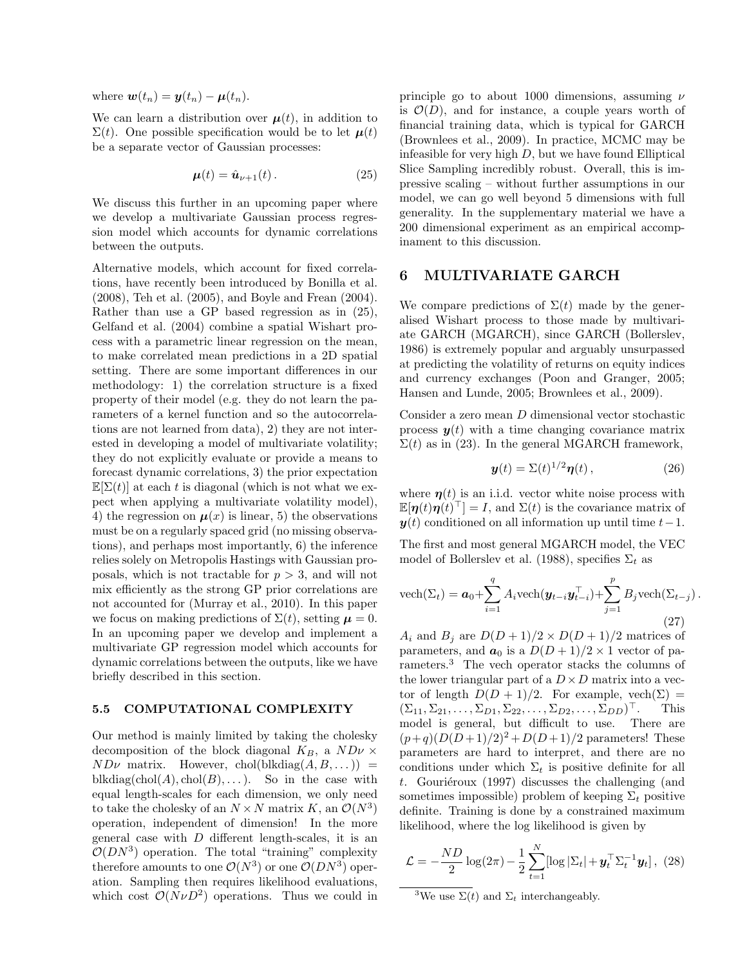where  $\mathbf{w}(t_n) = \mathbf{y}(t_n) - \mathbf{\mu}(t_n)$ .

We can learn a distribution over  $\mu(t)$ , in addition to  $\Sigma(t)$ . One possible specification would be to let  $\mu(t)$ be a separate vector of Gaussian processes:

$$
\mu(t) = \hat{u}_{\nu+1}(t). \tag{25}
$$

We discuss this further in an upcoming paper where we develop a multivariate Gaussian process regression model which accounts for dynamic correlations between the outputs.

Alternative models, which account for fixed correlations, have recently been introduced by Bonilla et al. (2008), Teh et al. (2005), and Boyle and Frean (2004). Rather than use a GP based regression as in (25), Gelfand et al. (2004) combine a spatial Wishart process with a parametric linear regression on the mean, to make correlated mean predictions in a 2D spatial setting. There are some important differences in our methodology: 1) the correlation structure is a fixed property of their model (e.g. they do not learn the parameters of a kernel function and so the autocorrelations are not learned from data), 2) they are not interested in developing a model of multivariate volatility; they do not explicitly evaluate or provide a means to forecast dynamic correlations, 3) the prior expectation  $\mathbb{E}[\Sigma(t)]$  at each t is diagonal (which is not what we expect when applying a multivariate volatility model), 4) the regression on  $\mu(x)$  is linear, 5) the observations must be on a regularly spaced grid (no missing observations), and perhaps most importantly, 6) the inference relies solely on Metropolis Hastings with Gaussian proposals, which is not tractable for  $p > 3$ , and will not mix efficiently as the strong GP prior correlations are not accounted for (Murray et al., 2010). In this paper we focus on making predictions of  $\Sigma(t)$ , setting  $\mu = 0$ . In an upcoming paper we develop and implement a multivariate GP regression model which accounts for dynamic correlations between the outputs, like we have briefly described in this section.

#### 5.5 COMPUTATIONAL COMPLEXITY

Our method is mainly limited by taking the cholesky decomposition of the block diagonal  $K_B$ , a  $ND\nu \times$  $ND\nu$  matrix. However, chol(blkdiag $(A, B, ...)$ ) = blkdiag(chol(A), chol(B), ... ). So in the case with equal length-scales for each dimension, we only need to take the cholesky of an  $N \times N$  matrix K, an  $\mathcal{O}(N^3)$ operation, independent of dimension! In the more general case with  $D$  different length-scales, it is an  $\mathcal{O}(DN^3)$  operation. The total "training" complexity therefore amounts to one  $\mathcal{O}(N^3)$  or one  $\mathcal{O}(DN^3)$  operation. Sampling then requires likelihood evaluations, which cost  $\mathcal{O}(N\nu D^2)$  operations. Thus we could in

principle go to about 1000 dimensions, assuming  $\nu$ is  $\mathcal{O}(D)$ , and for instance, a couple years worth of financial training data, which is typical for GARCH (Brownlees et al., 2009). In practice, MCMC may be infeasible for very high  $D$ , but we have found Elliptical Slice Sampling incredibly robust. Overall, this is impressive scaling – without further assumptions in our model, we can go well beyond 5 dimensions with full generality. In the supplementary material we have a 200 dimensional experiment as an empirical accompinament to this discussion.

### 6 MULTIVARIATE GARCH

We compare predictions of  $\Sigma(t)$  made by the generalised Wishart process to those made by multivariate GARCH (MGARCH), since GARCH (Bollerslev, 1986) is extremely popular and arguably unsurpassed at predicting the volatility of returns on equity indices and currency exchanges (Poon and Granger, 2005; Hansen and Lunde, 2005; Brownlees et al., 2009).

Consider a zero mean D dimensional vector stochastic process  $y(t)$  with a time changing covariance matrix  $\Sigma(t)$  as in (23). In the general MGARCH framework,

$$
\mathbf{y}(t) = \Sigma(t)^{1/2} \boldsymbol{\eta}(t) \,, \tag{26}
$$

where  $\eta(t)$  is an i.i.d. vector white noise process with  $\mathbb{E}[\boldsymbol{\eta}(t)\boldsymbol{\eta}(t)]^{\top}$  = I, and  $\Sigma(t)$  is the covariance matrix of  $y(t)$  conditioned on all information up until time  $t-1$ .

The first and most general MGARCH model, the VEC model of Bollerslev et al. (1988), specifies  $\Sigma_t$  as

$$
\text{vech}(\Sigma_t) = \boldsymbol{a}_0 + \sum_{i=1}^q A_i \text{vech}(\boldsymbol{y}_{t-i} \boldsymbol{y}_{t-i}^\top) + \sum_{j=1}^p B_j \text{vech}(\Sigma_{t-j}).
$$
\n(27)

 $A_i$  and  $B_j$  are  $D(D+1)/2 \times D(D+1)/2$  matrices of parameters, and  $a_0$  is a  $D(D+1)/2 \times 1$  vector of parameters.<sup>3</sup> The vech operator stacks the columns of the lower triangular part of a  $D \times D$  matrix into a vector of length  $D(D + 1)/2$ . For example,  $vech(\Sigma)$  =  $(\Sigma_{11}, \Sigma_{21}, \ldots, \Sigma_{D1}, \Sigma_{22}, \ldots, \Sigma_{D2}, \ldots, \Sigma_{DD})^{\top}.$ <sup>&</sup>gt;. This model is general, but difficult to use. There are  $(p+q)(D(D+1)/2)^2 + D(D+1)/2$  parameters! These parameters are hard to interpret, and there are no conditions under which  $\Sigma_t$  is positive definite for all t. Gouriéroux (1997) discusses the challenging (and sometimes impossible) problem of keeping  $\Sigma_t$  positive definite. Training is done by a constrained maximum likelihood, where the log likelihood is given by

$$
\mathcal{L} = -\frac{ND}{2}\log(2\pi) - \frac{1}{2}\sum_{t=1}^{N} [\log|\Sigma_t| + \boldsymbol{y}_t^{\top}\Sigma_t^{-1}\boldsymbol{y}_t], (28)
$$

<sup>3</sup>We use  $\Sigma(t)$  and  $\Sigma_t$  interchangeably.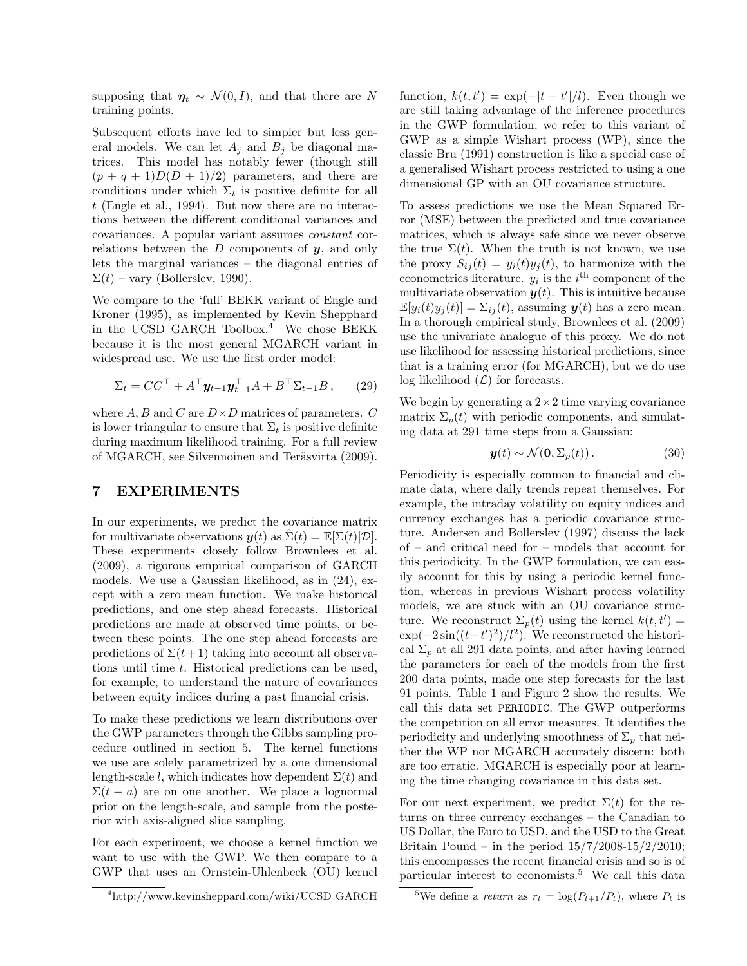supposing that  $\eta_t \sim \mathcal{N}(0, I)$ , and that there are N training points.

Subsequent efforts have led to simpler but less general models. We can let  $A_j$  and  $B_j$  be diagonal matrices. This model has notably fewer (though still  $(p+q+1)D(D+1)/2$  parameters, and there are conditions under which  $\Sigma_t$  is positive definite for all t (Engle et al., 1994). But now there are no interactions between the different conditional variances and covariances. A popular variant assumes constant correlations between the  $D$  components of  $y$ , and only lets the marginal variances – the diagonal entries of  $\Sigma(t)$  – vary (Bollerslev, 1990).

We compare to the 'full' BEKK variant of Engle and Kroner (1995), as implemented by Kevin Shepphard in the UCSD GARCH Toolbox.<sup>4</sup> We chose BEKK because it is the most general MGARCH variant in widespread use. We use the first order model:

$$
\Sigma_t = CC^\top + A^\top \mathbf{y}_{t-1} \mathbf{y}_{t-1}^\top A + B^\top \Sigma_{t-1} B, \qquad (29)
$$

where  $A, B$  and  $C$  are  $D \times D$  matrices of parameters.  $C$ is lower triangular to ensure that  $\Sigma_t$  is positive definite during maximum likelihood training. For a full review of MGARCH, see Silvennoinen and Teräsvirta (2009).

## 7 EXPERIMENTS

In our experiments, we predict the covariance matrix for multivariate observations  $y(t)$  as  $\Sigma(t) = \mathbb{E}[\Sigma(t)|\mathcal{D}]$ . These experiments closely follow Brownlees et al. (2009), a rigorous empirical comparison of GARCH models. We use a Gaussian likelihood, as in (24), except with a zero mean function. We make historical predictions, and one step ahead forecasts. Historical predictions are made at observed time points, or between these points. The one step ahead forecasts are predictions of  $\Sigma(t+1)$  taking into account all observations until time t. Historical predictions can be used, for example, to understand the nature of covariances between equity indices during a past financial crisis.

To make these predictions we learn distributions over the GWP parameters through the Gibbs sampling procedure outlined in section 5. The kernel functions we use are solely parametrized by a one dimensional length-scale l, which indicates how dependent  $\Sigma(t)$  and  $\Sigma(t + a)$  are on one another. We place a lognormal prior on the length-scale, and sample from the posterior with axis-aligned slice sampling.

For each experiment, we choose a kernel function we want to use with the GWP. We then compare to a GWP that uses an Ornstein-Uhlenbeck (OU) kernel

<sup>4</sup>http://www.kevinsheppard.com/wiki/UCSD GARCH

function,  $k(t, t') = \exp(-|t - t'|/l)$ . Even though we are still taking advantage of the inference procedures in the GWP formulation, we refer to this variant of GWP as a simple Wishart process (WP), since the classic Bru (1991) construction is like a special case of a generalised Wishart process restricted to using a one dimensional GP with an OU covariance structure.

To assess predictions we use the Mean Squared Error (MSE) between the predicted and true covariance matrices, which is always safe since we never observe the true  $\Sigma(t)$ . When the truth is not known, we use the proxy  $S_{ij}(t) = y_i(t)y_j(t)$ , to harmonize with the econometrics literature.  $y_i$  is the i<sup>th</sup> component of the multivariate observation  $y(t)$ . This is intuitive because  $\mathbb{E}[y_i(t)y_i(t)] = \sum_{ij}(t)$ , assuming  $\mathbf{y}(t)$  has a zero mean. In a thorough empirical study, Brownlees et al. (2009) use the univariate analogue of this proxy. We do not use likelihood for assessing historical predictions, since that is a training error (for MGARCH), but we do use log likelihood  $(\mathcal{L})$  for forecasts.

We begin by generating a  $2 \times 2$  time varying covariance matrix  $\Sigma_p(t)$  with periodic components, and simulating data at 291 time steps from a Gaussian:

$$
\mathbf{y}(t) \sim \mathcal{N}(\mathbf{0}, \Sigma_p(t)). \tag{30}
$$

Periodicity is especially common to financial and climate data, where daily trends repeat themselves. For example, the intraday volatility on equity indices and currency exchanges has a periodic covariance structure. Andersen and Bollerslev (1997) discuss the lack of – and critical need for – models that account for this periodicity. In the GWP formulation, we can easily account for this by using a periodic kernel function, whereas in previous Wishart process volatility models, we are stuck with an OU covariance structure. We reconstruct  $\Sigma_p(t)$  using the kernel  $k(t, t') =$  $\exp(-2\sin((t-t')^2)/l^2)$ . We reconstructed the historical  $\Sigma_p$  at all 291 data points, and after having learned the parameters for each of the models from the first 200 data points, made one step forecasts for the last 91 points. Table 1 and Figure 2 show the results. We call this data set PERIODIC. The GWP outperforms the competition on all error measures. It identifies the periodicity and underlying smoothness of  $\Sigma_p$  that neither the WP nor MGARCH accurately discern: both are too erratic. MGARCH is especially poor at learning the time changing covariance in this data set.

For our next experiment, we predict  $\Sigma(t)$  for the returns on three currency exchanges – the Canadian to US Dollar, the Euro to USD, and the USD to the Great Britain Pound – in the period  $15/7/2008-15/2/2010$ ; this encompasses the recent financial crisis and so is of particular interest to economists.<sup>5</sup> We call this data

<sup>&</sup>lt;sup>5</sup>We define a *return* as  $r_t = \log(P_{t+1}/P_t)$ , where  $P_t$  is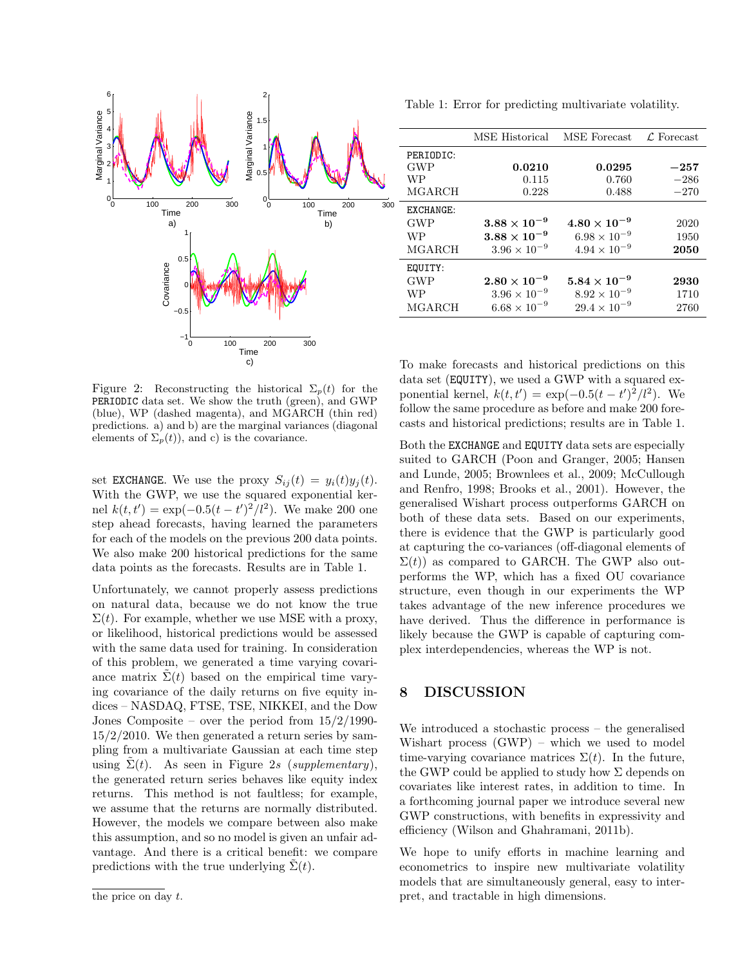

Figure 2: Reconstructing the historical  $\Sigma_p(t)$  for the PERIODIC data set. We show the truth (green), and GWP (blue), WP (dashed magenta), and MGARCH (thin red) predictions. a) and b) are the marginal variances (diagonal elements of  $\Sigma_p(t)$ , and c) is the covariance.

set EXCHANGE. We use the proxy  $S_{ij}(t) = y_i(t)y_j(t)$ . With the GWP, we use the squared exponential kernel  $k(t, t') = \exp(-0.5(t - t')^2/l^2)$ . We make 200 one step ahead forecasts, having learned the parameters for each of the models on the previous 200 data points. We also make 200 historical predictions for the same data points as the forecasts. Results are in Table 1.

Unfortunately, we cannot properly assess predictions on natural data, because we do not know the true  $\Sigma(t)$ . For example, whether we use MSE with a proxy, or likelihood, historical predictions would be assessed with the same data used for training. In consideration of this problem, we generated a time varying covariance matrix  $\Sigma(t)$  based on the empirical time varying covariance of the daily returns on five equity indices – NASDAQ, FTSE, TSE, NIKKEI, and the Dow Jones Composite – over the period from 15/2/1990-  $15/2/2010$ . We then generated a return series by sampling from a multivariate Gaussian at each time step using  $\tilde{\Sigma}(t)$ . As seen in Figure 2s (supplementary), the generated return series behaves like equity index returns. This method is not faultless; for example, we assume that the returns are normally distributed. However, the models we compare between also make this assumption, and so no model is given an unfair advantage. And there is a critical benefit: we compare predictions with the true underlying  $\Sigma(t)$ .

Table 1: Error for predicting multivariate volatility.

|            | MSE Historical        | MSE Forecast          | $\mathcal{L}$ Forecast |
|------------|-----------------------|-----------------------|------------------------|
| PERIODIC:  |                       |                       |                        |
| <b>GWP</b> | 0.0210                | 0.0295                | $-257$                 |
| <b>WP</b>  | 0.115                 | 0.760                 | $-286$                 |
| MGARCH     | 0.228                 | 0.488                 | $-270$                 |
| EXCHANGE:  |                       |                       |                        |
| <b>GWP</b> | $3.88\times10^{-9}$   | $4.80 \times 10^{-9}$ | 2020                   |
| <b>WP</b>  | $3.88\times10^{-9}$   | $6.98 \times 10^{-9}$ | 1950                   |
| MGARCH     | $3.96 \times 10^{-9}$ | $4.94 \times 10^{-9}$ | 2050                   |
| EQUITY:    |                       |                       |                        |
| <b>GWP</b> | $2.80 \times 10^{-9}$ | $5.84\times10^{-9}$   | 2930                   |
| WP         | $3.96 \times 10^{-9}$ | $8.92 \times 10^{-9}$ | 1710                   |
| MGARCH     | $6.68 \times 10^{-9}$ | $29.4 \times 10^{-9}$ | 2760                   |

To make forecasts and historical predictions on this data set (EQUITY), we used a GWP with a squared exponential kernel,  $k(t, t') = \exp(-0.5(t - t')^2/l^2)$ . We follow the same procedure as before and make 200 forecasts and historical predictions; results are in Table 1.

Both the EXCHANGE and EQUITY data sets are especially suited to GARCH (Poon and Granger, 2005; Hansen and Lunde, 2005; Brownlees et al., 2009; McCullough and Renfro, 1998; Brooks et al., 2001). However, the generalised Wishart process outperforms GARCH on both of these data sets. Based on our experiments, there is evidence that the GWP is particularly good at capturing the co-variances (off-diagonal elements of  $\Sigma(t)$ ) as compared to GARCH. The GWP also outperforms the WP, which has a fixed OU covariance structure, even though in our experiments the WP takes advantage of the new inference procedures we have derived. Thus the difference in performance is likely because the GWP is capable of capturing complex interdependencies, whereas the WP is not.

# 8 DISCUSSION

We introduced a stochastic process – the generalised Wishart process (GWP) – which we used to model time-varying covariance matrices  $\Sigma(t)$ . In the future, the GWP could be applied to study how  $\Sigma$  depends on covariates like interest rates, in addition to time. In a forthcoming journal paper we introduce several new GWP constructions, with benefits in expressivity and efficiency (Wilson and Ghahramani, 2011b).

We hope to unify efforts in machine learning and econometrics to inspire new multivariate volatility models that are simultaneously general, easy to interpret, and tractable in high dimensions.